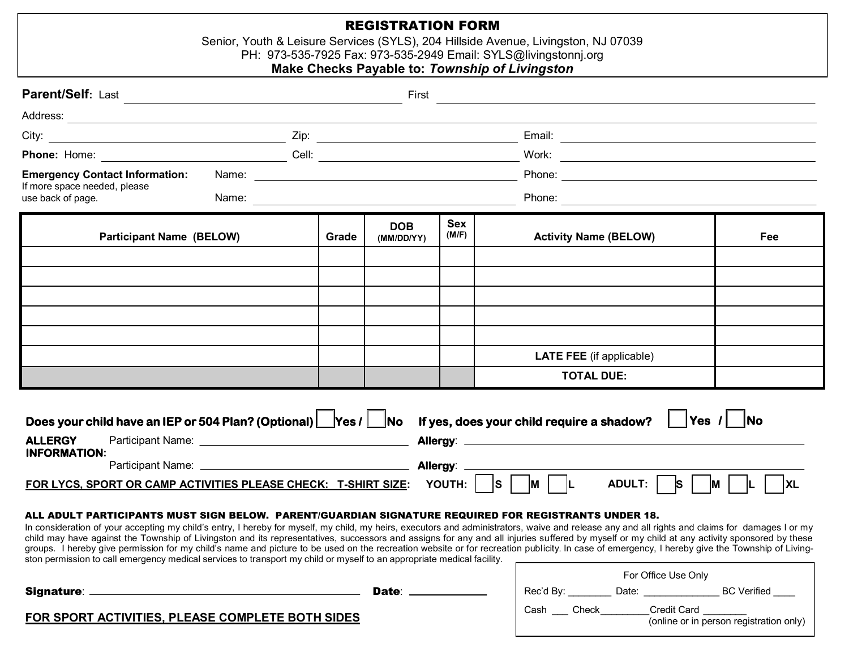## REGISTRATION FORM

Senior, Youth & Leisure Services (SYLS), 204 Hillside Avenue, Livingston, NJ 07039

PH: 973-535-7925 Fax: 973-535-2949 Email: SYLS@livingstonnj.org

## **Make Checks Payable to:** *Township of Livingston*

| Parent/Self: Last                                 |  |       | First                    |                     |                                                                                                                                             |              |  |  |  |
|---------------------------------------------------|--|-------|--------------------------|---------------------|---------------------------------------------------------------------------------------------------------------------------------------------|--------------|--|--|--|
|                                                   |  |       |                          |                     |                                                                                                                                             |              |  |  |  |
|                                                   |  |       |                          |                     |                                                                                                                                             |              |  |  |  |
|                                                   |  |       |                          |                     |                                                                                                                                             |              |  |  |  |
| <b>Emergency Contact Information:</b>             |  |       |                          |                     |                                                                                                                                             |              |  |  |  |
| If more space needed, please<br>use back of page. |  |       |                          |                     |                                                                                                                                             |              |  |  |  |
| <b>Participant Name (BELOW)</b>                   |  | Grade | <b>DOB</b><br>(MM/DD/YY) | <b>Sex</b><br>(M/F) | <b>Activity Name (BELOW)</b>                                                                                                                | Fee          |  |  |  |
|                                                   |  |       |                          |                     |                                                                                                                                             |              |  |  |  |
|                                                   |  |       |                          |                     |                                                                                                                                             |              |  |  |  |
|                                                   |  |       |                          |                     |                                                                                                                                             |              |  |  |  |
|                                                   |  |       |                          |                     |                                                                                                                                             |              |  |  |  |
|                                                   |  |       |                          |                     |                                                                                                                                             |              |  |  |  |
|                                                   |  |       |                          |                     | <b>LATE FEE</b> (if applicable)                                                                                                             |              |  |  |  |
|                                                   |  |       |                          |                     | <b>TOTAL DUE:</b>                                                                                                                           |              |  |  |  |
| <b>ALLERGY</b><br><b>INFORMATION:</b>             |  |       |                          |                     | Does your child have an IEP or 504 Plan? (Optional) $\Box$ Yes / $\Box$ No If yes, does your child require a shadow? $\Box$ Yes / $\Box$ No | $\vert$   XL |  |  |  |

child may have against the Township of Livingston and its representatives, successors and assigns for any and all injuries suffered by myself or my child at any activity sponsored by these groups. I hereby give permission for my child's name and picture to be used on the recreation website or for recreation publicity. In case of emergency, I hereby give the Township of Livingston permission to call emergency medical services to transport my child or myself to an appropriate medical facility.

|                                                  |       | For Office Use Only |       |       |             |                                         |
|--------------------------------------------------|-------|---------------------|-------|-------|-------------|-----------------------------------------|
| <b>Signature:</b>                                | Date: | Rec'd By:           |       | Date: |             | <b>BC</b> Verified                      |
| FOR SPORT ACTIVITIES, PLEASE COMPLETE BOTH SIDES |       | Cash                | Check |       | Credit Card | (online or in person registration only) |